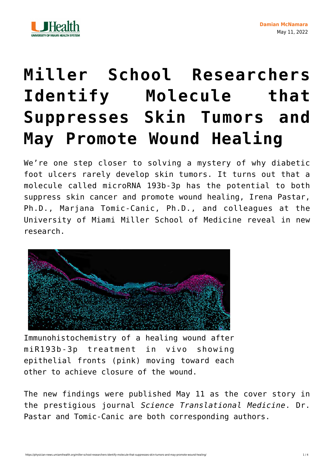



## **[Miller School Researchers](https://physician-news.umiamihealth.org/miller-school-researchers-identify-molecule-that-suppresses-skin-tumors-and-may-promote-wound-healing/) [Identify Molecule that](https://physician-news.umiamihealth.org/miller-school-researchers-identify-molecule-that-suppresses-skin-tumors-and-may-promote-wound-healing/) [Suppresses Skin Tumors and](https://physician-news.umiamihealth.org/miller-school-researchers-identify-molecule-that-suppresses-skin-tumors-and-may-promote-wound-healing/) [May Promote Wound Healing](https://physician-news.umiamihealth.org/miller-school-researchers-identify-molecule-that-suppresses-skin-tumors-and-may-promote-wound-healing/)**

We're one step closer to solving a mystery of why diabetic foot ulcers rarely develop skin tumors. It turns out that a molecule called microRNA 193b-3p has the potential to both suppress skin cancer and promote wound healing, Irena Pastar, Ph.D., Marjana Tomic-Canic, Ph.D., and colleagues at the University of Miami Miller School of Medicine reveal in new research.



Immunohistochemistry of a healing wound after miR193b-3p treatment in vivo showing epithelial fronts (pink) moving toward each other to achieve closure of the wound.

The new findings were [published](https://www.science.org/toc/stm/14/644#:~:text=Marjanovic%20et%20al.%20found%20that%20the%20tumor%20suppressor,improved%20keratinocyte%20migration%20and%20wound%20healing%20in%20mice.?msclkid=a775ad8cd15511ec83bdb31fc3f64c22) May 11 as the cover story in the prestigious journal *Science Translational Medicine*. Dr. Pastar and Tomic-Canic are both corresponding authors.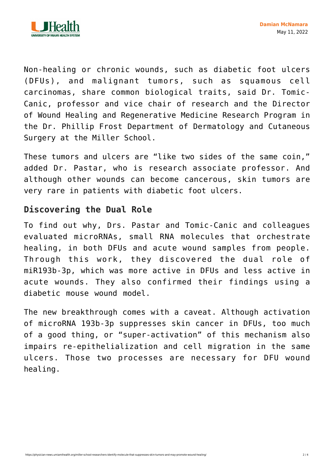

Non-healing or chronic wounds, such as diabetic foot ulcers (DFUs), and malignant tumors, such as squamous cell carcinomas, share common biological traits, said Dr. Tomic-Canic, professor and vice chair of research and the Director of Wound Healing and Regenerative Medicine Research Program in the Dr. Phillip Frost Department of Dermatology and Cutaneous Surgery at the Miller School.

These tumors and ulcers are "like two sides of the same coin," added Dr. Pastar, who is research associate professor. And although other wounds can become cancerous, skin tumors are very rare in patients with diabetic foot ulcers.

## **Discovering the Dual Role**

To find out why, Drs. Pastar and Tomic-Canic and colleagues evaluated microRNAs, small RNA molecules that orchestrate healing, in both DFUs and acute wound samples from people. Through this work, they discovered the dual role of miR193b-3p, which was more active in DFUs and less active in acute wounds. They also confirmed their findings using a diabetic mouse wound model.

The new breakthrough comes with a caveat. Although activation of microRNA 193b-3p suppresses skin cancer in DFUs, too much of a good thing, or "super-activation" of this mechanism also impairs re-epithelialization and cell migration in the same ulcers. Those two processes are necessary for DFU wound healing.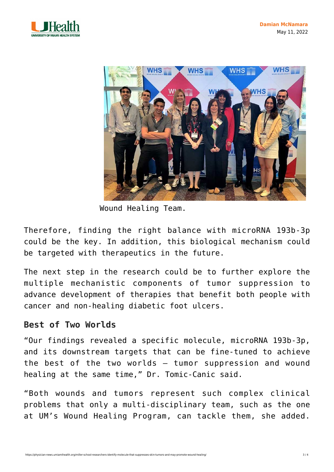



Wound Healing Team.

Therefore, finding the right balance with microRNA 193b-3p could be the key. In addition, this biological mechanism could be targeted with therapeutics in the future.

The next step in the research could be to further explore the multiple mechanistic components of tumor suppression to advance development of therapies that benefit both people with cancer and non-healing diabetic foot ulcers.

## **Best of Two Worlds**

"Our findings revealed a specific molecule, microRNA 193b-3p, and its downstream targets that can be fine-tuned to achieve the best of the two worlds — tumor suppression and wound healing at the same time," Dr. Tomic-Canic said.

"Both wounds and tumors represent such complex clinical problems that only a multi-disciplinary team, such as the one at UM's Wound Healing Program, can tackle them, she added.